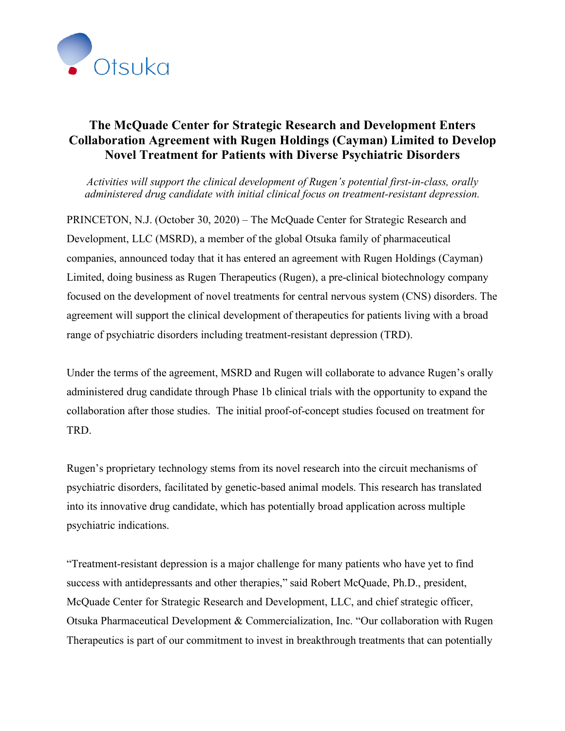

## **The McQuade Center for Strategic Research and Development Enters Collaboration Agreement with Rugen Holdings (Cayman) Limited to Develop Novel Treatment for Patients with Diverse Psychiatric Disorders**

*Activities will support the clinical development of Rugen's potential first-in-class, orally administered drug candidate with initial clinical focus on treatment-resistant depression.*

PRINCETON, N.J. (October 30, 2020) – The McQuade Center for Strategic Research and Development, LLC (MSRD), a member of the global Otsuka family of pharmaceutical companies, announced today that it has entered an agreement with Rugen Holdings (Cayman) Limited, doing business as Rugen Therapeutics (Rugen), a pre-clinical biotechnology company focused on the development of novel treatments for central nervous system (CNS) disorders. The agreement will support the clinical development of therapeutics for patients living with a broad range of psychiatric disorders including treatment-resistant depression (TRD).

Under the terms of the agreement, MSRD and Rugen will collaborate to advance Rugen's orally administered drug candidate through Phase 1b clinical trials with the opportunity to expand the collaboration after those studies. The initial proof-of-concept studies focused on treatment for TRD.

Rugen's proprietary technology stems from its novel research into the circuit mechanisms of psychiatric disorders, facilitated by genetic-based animal models. This research has translated into its innovative drug candidate, which has potentially broad application across multiple psychiatric indications.

"Treatment-resistant depression is a major challenge for many patients who have yet to find success with antidepressants and other therapies," said Robert McQuade, Ph.D., president, McQuade Center for Strategic Research and Development, LLC, and chief strategic officer, Otsuka Pharmaceutical Development & Commercialization, Inc. "Our collaboration with Rugen Therapeutics is part of our commitment to invest in breakthrough treatments that can potentially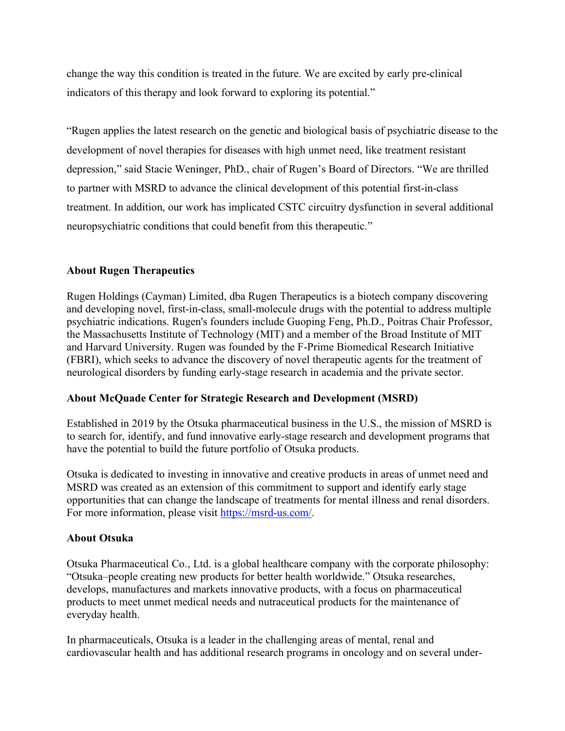change the way this condition is treated in the future. We are excited by early pre-clinical indicators of this therapy and look forward to exploring its potential."

"Rugen applies the latest research on the genetic and biological basis of psychiatric disease to the development of novel therapies for diseases with high unmet need, like treatment resistant depression," said Stacie Weninger, PhD., chair of Rugen's Board of Directors. "We are thrilled to partner with MSRD to advance the clinical development of this potential first-in-class treatment. In addition, our work has implicated CSTC circuitry dysfunction in several additional neuropsychiatric conditions that could benefit from this therapeutic."

## **About Rugen Therapeutics**

Rugen Holdings (Cayman) Limited, dba Rugen Therapeutics is a biotech company discovering and developing novel, first-in-class, small-molecule drugs with the potential to address multiple psychiatric indications. Rugen's founders include Guoping Feng, Ph.D., Poitras Chair Professor, the Massachusetts Institute of Technology (MIT) and a member of the Broad Institute of MIT and Harvard University. Rugen was founded by the F-Prime Biomedical Research Initiative (FBRI), which seeks to advance the discovery of novel therapeutic agents for the treatment of neurological disorders by funding early-stage research in academia and the private sector.

## **About McQuade Center for Strategic Research and Development (MSRD)**

Established in 2019 by the Otsuka pharmaceutical business in the U.S., the mission of MSRD is to search for, identify, and fund innovative early-stage research and development programs that have the potential to build the future portfolio of Otsuka products.

Otsuka is dedicated to investing in innovative and creative products in areas of unmet need and MSRD was created as an extension of this commitment to support and identify early stage opportunities that can change the landscape of treatments for mental illness and renal disorders. For more information, please visit https://msrd-us.com/.

## **About Otsuka**

Otsuka Pharmaceutical Co., Ltd. is a global healthcare company with the corporate philosophy: "Otsuka–people creating new products for better health worldwide." Otsuka researches, develops, manufactures and markets innovative products, with a focus on pharmaceutical products to meet unmet medical needs and nutraceutical products for the maintenance of everyday health.

In pharmaceuticals, Otsuka is a leader in the challenging areas of mental, renal and cardiovascular health and has additional research programs in oncology and on several under